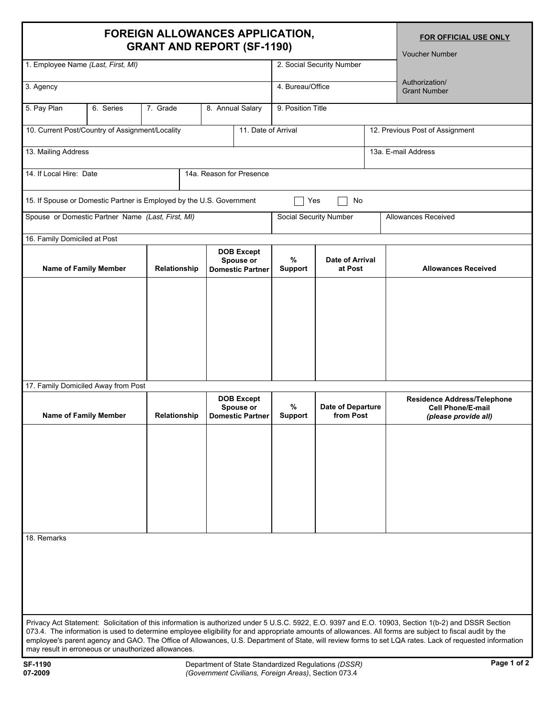## **FOREIGN ALLOWANCES APPLICATION,**  $BORI$   $BERI$

**FOR OFFICIAL USE ONLY**

| GRANT AND REPORT (SF-1190)<br><b>Voucher Number</b> |                                                                                   |              |              |                     |                                                           |                                                   |                                 |  |                                                                                                                                                                                                                                                                                                                                                                                                                                                                             |  |
|-----------------------------------------------------|-----------------------------------------------------------------------------------|--------------|--------------|---------------------|-----------------------------------------------------------|---------------------------------------------------|---------------------------------|--|-----------------------------------------------------------------------------------------------------------------------------------------------------------------------------------------------------------------------------------------------------------------------------------------------------------------------------------------------------------------------------------------------------------------------------------------------------------------------------|--|
| 1. Employee Name (Last, First, MI)                  |                                                                                   |              |              |                     |                                                           |                                                   | 2. Social Security Number       |  |                                                                                                                                                                                                                                                                                                                                                                                                                                                                             |  |
| 3. Agency                                           |                                                                                   |              |              |                     |                                                           |                                                   | 4. Bureau/Office                |  | Authorization/<br><b>Grant Number</b>                                                                                                                                                                                                                                                                                                                                                                                                                                       |  |
| 5. Pay Plan                                         | 6. Series                                                                         | 7. Grade     |              | 8. Annual Salary    |                                                           | 9. Position Title                                 |                                 |  |                                                                                                                                                                                                                                                                                                                                                                                                                                                                             |  |
| 10. Current Post/Country of Assignment/Locality     |                                                                                   |              |              | 11. Date of Arrival |                                                           |                                                   | 12. Previous Post of Assignment |  |                                                                                                                                                                                                                                                                                                                                                                                                                                                                             |  |
| 13. Mailing Address<br>13a. E-mail Address          |                                                                                   |              |              |                     |                                                           |                                                   |                                 |  |                                                                                                                                                                                                                                                                                                                                                                                                                                                                             |  |
| 14. If Local Hire: Date<br>14a. Reason for Presence |                                                                                   |              |              |                     |                                                           |                                                   |                                 |  |                                                                                                                                                                                                                                                                                                                                                                                                                                                                             |  |
|                                                     | 15. If Spouse or Domestic Partner is Employed by the U.S. Government<br>Yes<br>No |              |              |                     |                                                           |                                                   |                                 |  |                                                                                                                                                                                                                                                                                                                                                                                                                                                                             |  |
| Spouse or Domestic Partner Name (Last, First, MI)   |                                                                                   |              |              |                     |                                                           | Social Security Number                            |                                 |  | <b>Allowances Received</b>                                                                                                                                                                                                                                                                                                                                                                                                                                                  |  |
| 16. Family Domiciled at Post                        |                                                                                   |              |              |                     |                                                           |                                                   |                                 |  |                                                                                                                                                                                                                                                                                                                                                                                                                                                                             |  |
| <b>Name of Family Member</b>                        |                                                                                   | Relationship |              |                     | <b>DOB Except</b><br>Spouse or<br><b>Domestic Partner</b> | %<br>Date of Arrival<br><b>Support</b><br>at Post |                                 |  | <b>Allowances Received</b>                                                                                                                                                                                                                                                                                                                                                                                                                                                  |  |
| 17. Family Domiciled Away from Post                 |                                                                                   |              |              |                     |                                                           |                                                   |                                 |  |                                                                                                                                                                                                                                                                                                                                                                                                                                                                             |  |
|                                                     |                                                                                   |              |              |                     |                                                           |                                                   |                                 |  |                                                                                                                                                                                                                                                                                                                                                                                                                                                                             |  |
| <b>Name of Family Member</b>                        |                                                                                   |              | Relationship |                     | <b>DOB Except</b><br>Spouse or<br><b>Domestic Partner</b> | %<br><b>Support</b>                               | Date of Departure<br>from Post  |  | Residence Address/Telephone<br><b>Cell Phone/E-mail</b><br>(please provide all)                                                                                                                                                                                                                                                                                                                                                                                             |  |
|                                                     |                                                                                   |              |              |                     |                                                           |                                                   |                                 |  |                                                                                                                                                                                                                                                                                                                                                                                                                                                                             |  |
| 18. Remarks                                         |                                                                                   |              |              |                     |                                                           |                                                   |                                 |  |                                                                                                                                                                                                                                                                                                                                                                                                                                                                             |  |
| may result in erroneous or unauthorized allowances. |                                                                                   |              |              |                     |                                                           |                                                   |                                 |  | Privacy Act Statement: Solicitation of this information is authorized under 5 U.S.C. 5922, E.O. 9397 and E.O. 10903, Section 1(b-2) and DSSR Section<br>073.4. The information is used to determine employee eligibility for and appropriate amounts of allowances. All forms are subject to fiscal audit by the<br>employee's parent agency and GAO. The Office of Allowances, U.S. Department of State, will review forms to set LQA rates. Lack of requested information |  |